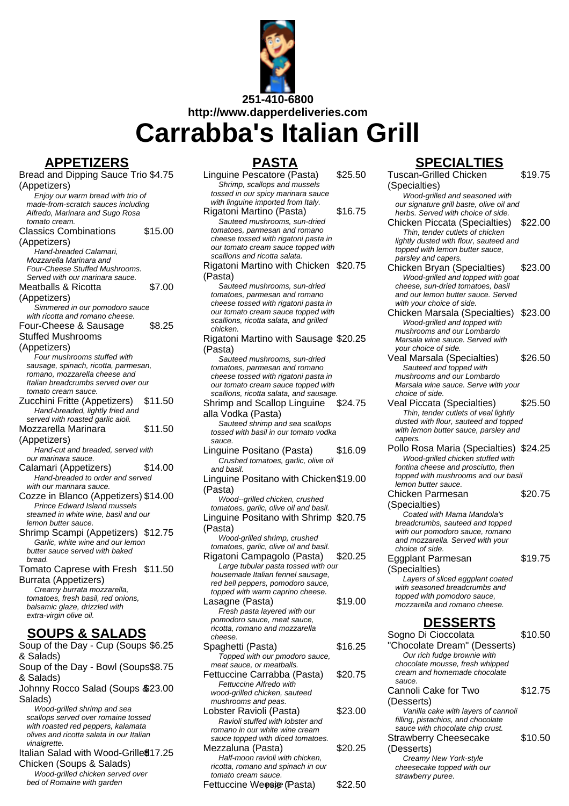

**Carrabba's Italian Grill**

# **APPETIZERS**

Bread and Dipping Sauce Trio \$4.75 (Appetizers) Enjoy our warm bread with trio of made-from-scratch sauces including Alfredo, Marinara and Sugo Rosa tomato cream. Classics Combinations (Appetizers) \$15.00 Hand-breaded Calamari, Mozzarella Marinara and Four-Cheese Stuffed Mushrooms. Served with our marinara sauce. Meatballs & Ricotta (Appetizers) \$7.00 Simmered in our pomodoro sauce with ricotta and romano cheese. Four-Cheese & Sausage Stuffed Mushrooms (Appetizers) \$8.25 Four mushrooms stuffed with sausage, spinach, ricotta, parmesan, romano, mozzarella cheese and Italian breadcrumbs served over our tomato cream sauce. Zucchini Fritte (Appetizers) \$11.50 Hand-breaded, lightly fried and served with roasted garlic aioli. Mozzarella Marinara (Appetizers) \$11.50 Hand-cut and breaded, served with our marinara sauce. Calamari (Appetizers) \$14.00 Hand-breaded to order and served with our marinara sauce. Cozze in Blanco (Appetizers) \$14.00 Prince Edward Island mussels steamed in white wine, basil and our lemon butter sauce. Shrimp Scampi (Appetizers) \$12.75 Garlic, white wine and our lemon butter sauce served with baked bread. Tomato Caprese with Fresh \$11.50 Burrata (Appetizers) Creamy burrata mozzarella, tomatoes, fresh basil, red onions, balsamic glaze, drizzled with extra-virgin olive oil. **SOUPS & SALADS** Soup of the Day - Cup (Soups \$6.25

& Salads) Soup of the Day - Bowl (Soups \$8.75 & Salads) Johnny Rocco Salad (Soups & \$23.00 Salads) Wood-grilled shrimp and sea scallops served over romaine tossed with roasted red peppers, kalamata olives and ricotta salata in our Italian vinaigrette. Italian Salad with Wood-Grille \$17.25 Chicken (Soups & Salads) Wood-grilled chicken served over bed of Romaine with garden

| PASTA                                                                         |         |
|-------------------------------------------------------------------------------|---------|
| Linguine Pescatore (Pasta)                                                    | \$25.50 |
| Shrimp, scallops and mussels<br>tossed in our spicy marinara sauce            |         |
| with linguine imported from Italy.                                            |         |
| Rigatoni Martino (Pasta)                                                      | \$16.75 |
| Sauteed mushrooms, sun-dried                                                  |         |
| tomatoes, parmesan and romano<br>cheese tossed with rigatoni pasta in         |         |
| our tomato cream sauce topped with                                            |         |
| scallions and ricotta salata.                                                 |         |
| Rigatoni Martino with Chicken \$20.75<br>(Pasta)                              |         |
| Sauteed mushrooms, sun-dried                                                  |         |
| tomatoes, parmesan and romano                                                 |         |
| cheese tossed with rigatoni pasta in<br>our tomato cream sauce topped with    |         |
| scallions, ricotta salata, and grilled                                        |         |
| chicken.                                                                      |         |
| Rigatoni Martino with Sausage \$20.25                                         |         |
| (Pasta)                                                                       |         |
| Sauteed mushrooms, sun-dried<br>tomatoes, parmesan and romano                 |         |
| cheese tossed with rigatoni pasta in                                          |         |
| our tomato cream sauce topped with<br>scallions, ricotta salata, and sausage. |         |
| Shrimp and Scallop Linguine                                                   | \$24.75 |
| alla Vodka (Pasta)                                                            |         |
| Sauteed shrimp and sea scallops                                               |         |
| tossed with basil in our tomato vodka<br>sauce.                               |         |
| Linguine Positano (Pasta)                                                     | \$16.09 |
| Crushed tomatoes, garlic, olive oil                                           |         |
| and basil.                                                                    |         |
|                                                                               |         |
| Linguine Positano with Chicken\$19.00                                         |         |
| (Pasta)                                                                       |         |
| Wood--grilled chicken, crushed<br>tomatoes, garlic, olive oil and basil.      |         |
| Linguine Positano with Shrimp \$20.75                                         |         |
| (Pasta)                                                                       |         |
| Wood-grilled shrimp, crushed                                                  |         |
| tomatoes, garlic, olive oil and basil.                                        | \$20.25 |
| Rigatoni Campagolo (Pasta)<br>Large tubular pasta tossed with our             |         |
| housemade Italian fennel sausage,                                             |         |
| red bell peppers, pomodoro sauce,<br>topped with warm caprino cheese.         |         |
| Lasagne (Pasta)                                                               | \$19.00 |
| Fresh pasta layered with our                                                  |         |
| pomodoro sauce, meat sauce,                                                   |         |
| ricotta, romano and mozzarella<br>cheese.                                     |         |
| Spaghetti (Pasta)                                                             | \$16.25 |
| Topped with our pmodoro sauce,                                                |         |
| meat sauce, or meatballs.                                                     | \$20.75 |
| Fettuccine Carrabba (Pasta)<br>Fettuccine Alfredo with                        |         |
| wood-grilled chicken, sauteed                                                 |         |
| mushrooms and peas.                                                           |         |
| Lobster Ravioli (Pasta)<br>Ravioli stuffed with lobster and                   | \$23.00 |
| romano in our white wine cream                                                |         |
| sauce topped with diced tomatoes.                                             |         |
| Mezzaluna (Pasta)<br>Half-moon ravioli with chicken,                          | \$20.25 |
| ricotta, romano and spinach in our<br>tomato cream sauce.                     |         |

### Fettuccine Weosige (Pasta) \$22.50

# **SPECIALTIES**

Tuscan-Grilled Chicken (Specialties) \$19.75 Wood-grilled and seasoned with our signature grill baste, olive oil and herbs. Served with choice of side. Chicken Piccata (Specialties) \$22.00 Thin, tender cutlets of chicken lightly dusted with flour, sauteed and topped with lemon butter sauce, parsley and capers. Chicken Bryan (Specialties) \$23.00 Wood-grilled and topped with goat cheese, sun-dried tomatoes, basil and our lemon butter sauce. Served with your choice of side. Chicken Marsala (Specialties) \$23.00 Wood-grilled and topped with mushrooms and our Lombardo Marsala wine sauce. Served with your choice of side. Veal Marsala (Specialties) \$26.50 Sauteed and topped with mushrooms and our Lombardo Marsala wine sauce. Serve with your choice of side. Veal Piccata (Specialties) \$25.50 Thin, tender cutlets of veal lightly dusted with flour, sauteed and topped with lemon butter sauce, parsley and capers Pollo Rosa Maria (Specialties) \$24.25 Wood-grilled chicken stuffed with fontina cheese and prosciutto, then topped with mushrooms and our basil lemon butter sauce. Chicken Parmesan (Specialties) \$20.75 Coated with Mama Mandola's breadcrumbs, sauteed and topped with our pomodoro sauce, romano and mozzarella. Served with your choice of side. Eggplant Parmesan (Specialties) \$19.75 Layers of sliced eggplant coated with seasoned breadcrumbs and topped with pomodoro sauce, mozzarella and romano cheese. **DESSERTS** Sogno Di Cioccolata "Chocolate Dream" (Desserts) \$10.50 Our rich fudge brownie with chocolate mousse, fresh whipped cream and homemade chocolate sauce. Cannoli Cake for Two (Desserts) \$12.75 Vanilla cake with layers of cannoli filling, pistachios, and chocolate sauce with chocolate chip crust. Strawberry Cheesecake (Desserts) \$10.50 Creamy New York-style cheesecake topped with our strawberry puree.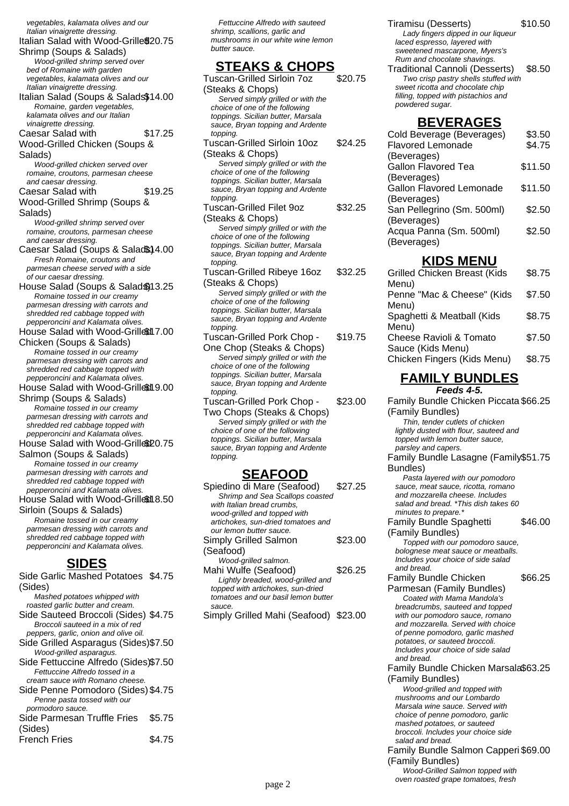vegetables, kalamata olives and our Italian vinaigrette dressing. Italian Salad with Wood-Grille \$20.75 Shrimp (Soups & Salads) Wood-grilled shrimp served over bed of Romaine with garden vegetables, kalamata olives and our Italian vinaigrette dressing. Italian Salad (Soups & Salads\$14.00 Romaine, garden vegetables, kalamata olives and our Italian vinaigrette dressing. Caesar Salad with Wood-Grilled Chicken (Soups & Salads) \$17.25 Wood-grilled chicken served over romaine, croutons, parmesan cheese and caesar dressing. Caesar Salad with Wood-Grilled Shrimp (Soups & Salads) \$19.25 Wood-grilled shrimp served over romaine, croutons, parmesan cheese and caesar dressing. Caesar Salad (Soups & Salad \$14.00 Fresh Romaine, croutons and parmesan cheese served with a side .<br>of our caesar dressing. House Salad (Soups & Salad \$13.25 Romaine tossed in our creamy parmesan dressing with carrots and shredded red cabbage topped with pepperoncini and Kalamata olives. House Salad with Wood-Grilled 7.00 Chicken (Soups & Salads) Romaine tossed in our creamy parmesan dressing with carrots and shredded red cabbage topped with pepperoncini and Kalamata olives. House Salad with Wood-Grilled 9.00 Shrimp (Soups & Salads) Romaine tossed in our creamy parmesan dressing with carrots and shredded red cabbage topped with pepperoncini and Kalamata olives. House Salad with Wood-Grille\$20.75 Salmon (Soups & Salads) Romaine tossed in our creamy parmesan dressing with carrots and shredded red cabbage topped with pepperoncini and Kalamata olives. House Salad with Wood-Grilled 8.50 Sirloin (Soups & Salads) Romaine tossed in our creamy parmesan dressing with carrots and shredded red cabbage topped with pepperoncini and Kalamata olives. **SIDES** Side Garlic Mashed Potatoes \$4.75 (Sides) Mashed potatoes whipped with roasted garlic butter and cream. Side Sauteed Broccoli (Sides) \$4.75 Broccoli sauteed in a mix of red peppers, garlic, onion and olive oil. Side Grilled Asparagus (Sides)\$7.50 Wood-grilled asparagus. Side Fettuccine Alfredo (Sides)\$7.50 Fettuccine Alfredo tossed in a cream sauce with Romano cheese. Side Penne Pomodoro (Sides) \$4.75 Penne pasta tossed with our pormodoro sauce. Side Parmesan Truffle Fries (Sides) \$5.75

French Fries \$4.75

Fettuccine Alfredo with sauteed shrimp, scallions, garlic and mushrooms in our white wine lemon butter sauce.

#### **STEAKS & CHOPS**

| <u>STEAKS &amp; CHOPS</u>                                                |         |
|--------------------------------------------------------------------------|---------|
| <b>Tuscan-Grilled Sirloin 7oz</b>                                        | \$20.75 |
| (Steaks & Chops)                                                         |         |
| Served simply grilled or with the                                        |         |
| choice of one of the following                                           |         |
| toppings. Sicilian butter, Marsala<br>sauce, Bryan topping and Ardente   |         |
| topping.                                                                 |         |
| Tuscan-Grilled Sirloin 10oz                                              | \$24.25 |
| (Steaks & Chops)                                                         |         |
| Served simply grilled or with the                                        |         |
| choice of one of the following                                           |         |
| toppings. Sicilian butter, Marsala                                       |         |
| sauce, Bryan topping and Ardente                                         |         |
| topping.                                                                 |         |
| Tuscan-Grilled Filet 9oz                                                 | \$32.25 |
| (Steaks & Chops)                                                         |         |
| Served simply grilled or with the<br>choice of one of the following      |         |
| toppings. Sicilian butter, Marsala                                       |         |
| sauce, Bryan topping and Ardente                                         |         |
| topping.                                                                 |         |
| Tuscan-Grilled Ribeye 16oz                                               | \$32.25 |
| (Steaks & Chops)                                                         |         |
| Served simply grilled or with the                                        |         |
| choice of one of the following                                           |         |
| toppings. Sicilian butter, Marsala<br>sauce, Bryan topping and Ardente   |         |
| topping.                                                                 |         |
| Tuscan-Grilled Pork Chop -                                               | \$19.75 |
| One Chop (Steaks & Chops)                                                |         |
| Served simply grilled or with the                                        |         |
| choice of one of the following                                           |         |
| toppings. Sicilian butter, Marsala                                       |         |
| sauce, Bryan topping and Ardente                                         |         |
| topping.<br>Tuscan-Grilled Pork Chop -                                   | \$23.00 |
| Two Chops (Steaks & Chops)                                               |         |
| Served simply grilled or with the                                        |         |
| choice of one of the following                                           |         |
| toppings. Sicilian butter, Marsala                                       |         |
| sauce, Bryan topping and Ardente                                         |         |
| topping.                                                                 |         |
|                                                                          |         |
| <b>SEAFOOD</b>                                                           |         |
| Spiedino di Mare (Seafood)                                               | \$27.25 |
| Shrimp and Sea Scallops coasted<br>with Italian bread crumbs.            |         |
| wood-grilled and topped with                                             |         |
| artichokes, sun-dried tomatoes and                                       |         |
| our lemon butter sauce.                                                  |         |
| <b>Simply Grilled Salmon</b>                                             | \$23.00 |
| (Seafood)                                                                |         |
| Wood-grilled salmon.                                                     |         |
| Mahi Wulfe (Seafood)                                                     | \$26.25 |
| Lightly breaded, wood-grilled and                                        |         |
| topped with artichokes, sun-dried<br>tomatoes and our basil lemon butter |         |
| sauce.                                                                   |         |
| Simply Grilled Mahi (Seafood) \$23.00                                    |         |
|                                                                          |         |
|                                                                          |         |
|                                                                          |         |

Tiramisu (Desserts) \$10.50 Lady fingers dipped in our liqueur laced espresso, layered with sweetened mascarpone, Myers's

Rum and chocolate shavings. Traditional Cannoli (Desserts) \$8.50 Two crisp pastry shells stuffed with sweet ricotta and chocolate chip filling, topped with pistachios and powdered sugar.

#### **BEVERAGES**

| Cold Beverage (Beverages)       | \$3.50  |
|---------------------------------|---------|
| Flavored Lemonade               | \$4.75  |
| (Beverages)                     |         |
| Gallon Flavored Tea             | \$11.50 |
| (Beverages)                     |         |
| <b>Gallon Flavored Lemonade</b> | \$11.50 |
| (Beverages)                     |         |
| San Pellegrino (Sm. 500ml)      | \$2.50  |
| (Beverages)                     |         |
| Acqua Panna (Sm. 500ml)         | \$2.50  |
| (Beverages)                     |         |
|                                 |         |

## **KIDS MENU**

| <b>Grilled Chicken Breast (Kids</b>              | \$8.75 |
|--------------------------------------------------|--------|
| Menu)<br>Penne "Mac & Cheese" (Kids              | \$7.50 |
| Menu)<br>Spaghetti & Meatball (Kids              | \$8.75 |
| Menu)<br>Cheese Ravioli & Tomato                 | \$7.50 |
| Sauce (Kids Menu)<br>Chicken Fingers (Kids Menu) | \$8.75 |
|                                                  |        |

#### **FAMILY BUNDLES Feeds 4-5.**

Family Bundle Chicken Piccata \$66.25 (Family Bundles) Thin, tender cutlets of chicken lightly dusted with flour, sauteed and topped with lemon butter sauce, parsley and capers. Family Bundle Lasagne (Family \$51.75 Bundles) Pasta layered with our pomodoro sauce, meat sauce, ricotta, romano and mozzarella cheese. Includes salad and bread. \*This dish takes 60 minutes to prepare.<sup>\*</sup> Family Bundle Spaghetti (Family Bundles) \$46.00 Topped with our pomodoro sauce, bolognese meat sauce or meatballs. Includes your choice of side salad and bread. Family Bundle Chicken Parmesan (Family Bundles) \$66.25 Coated with Mama Mandola's breadcrumbs, sauteed and topped with our pomodoro sauce, romano and mozzarella. Served with choice of penne pomodoro, garlic mashed potatoes, or sauteed broccoli. Includes your choice of side salad and bread. Family Bundle Chicken Marsala \$63.25 (Family Bundles) Wood-grilled and topped with mushrooms and our Lombardo Marsala wine sauce. Served with choice of penne pomodoro, garlic mashed potatoes, or sauteed broccoli. Includes your choice side salad and bread. Family Bundle Salmon Capperi \$69.00 (Family Bundles) Wood-Grilled Salmon topped with page 2 oven roasted grape tomatoes, fresh